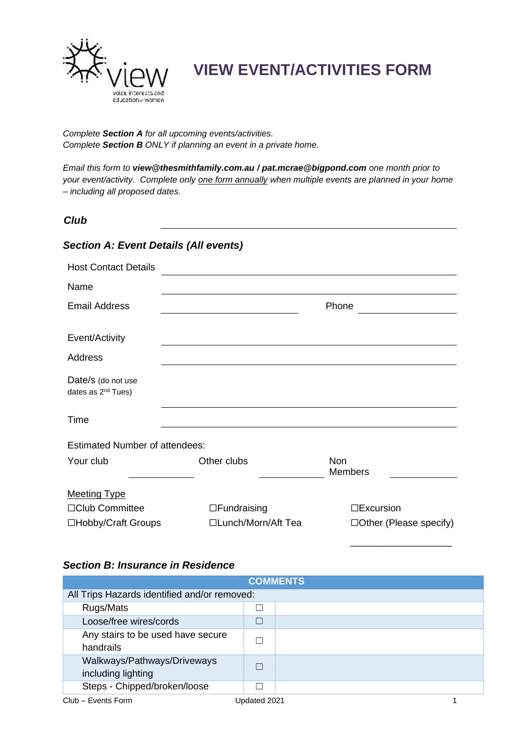

## **VIEW EVENT/ACTIVITIES FORM**

*Complete Section A for all upcoming events/activities. Complete Section B ONLY if planning an event in a private home.* 

*Email this form to [view@thesmithfamily.com.au](mailto:view@thesmithfamily.com.au) / [pat.mcrae@bigpond.com](mailto:pat.mcrae@bigpond.com) one month prior to your event/activity. Complete only one form annually when multiple events are planned in your home – including all proposed dates.*

## *Club*

## *Section A: Event Details (All events)*

| <b>Host Contact Details</b>                          |                     |                               |
|------------------------------------------------------|---------------------|-------------------------------|
| Name                                                 |                     |                               |
| <b>Email Address</b>                                 |                     | Phone                         |
| Event/Activity                                       |                     |                               |
| Address                                              |                     |                               |
| Date/s (do not use<br>dates as 2 <sup>nd</sup> Tues) |                     |                               |
| Time                                                 |                     |                               |
| <b>Estimated Number of attendees:</b>                |                     |                               |
| Your club                                            | Other clubs         | <b>Non</b><br><b>Members</b>  |
| <b>Meeting Type</b>                                  |                     |                               |
| □Club Committee                                      | $\Box$ Fundraising  | $\square$ Excursion           |
| □Hobby/Craft Groups                                  | □Lunch/Morn/Aft Tea | $\Box$ Other (Please specify) |

## *Section B: Insurance in Residence*

| <b>COMMENTS</b>                                   |              |  |  |  |  |
|---------------------------------------------------|--------------|--|--|--|--|
| All Trips Hazards identified and/or removed:      |              |  |  |  |  |
| Rugs/Mats                                         |              |  |  |  |  |
| Loose/free wires/cords                            |              |  |  |  |  |
| Any stairs to be used have secure<br>handrails    |              |  |  |  |  |
| Walkways/Pathways/Driveways<br>including lighting |              |  |  |  |  |
| Steps - Chipped/broken/loose                      |              |  |  |  |  |
| Club - Events Form                                | Updated 2021 |  |  |  |  |

\_\_\_\_\_\_\_\_\_\_\_\_\_\_\_\_\_\_\_